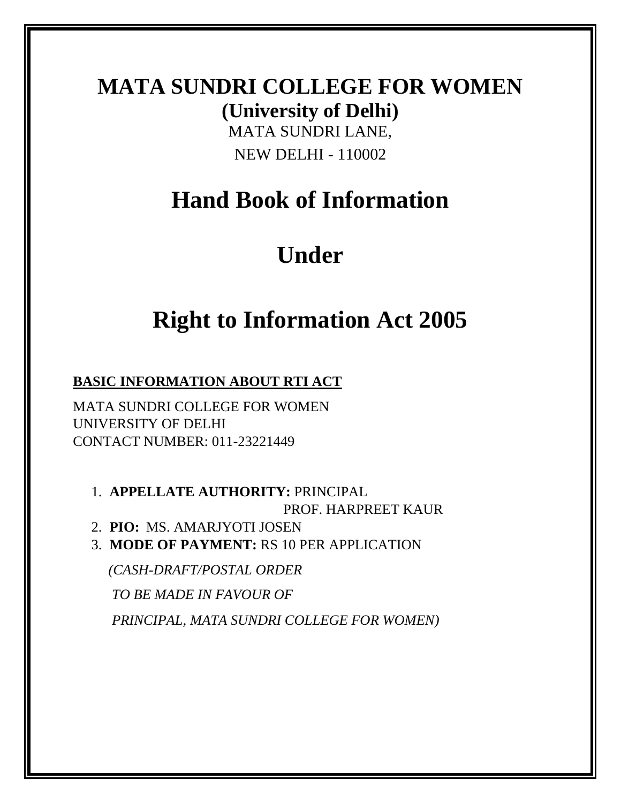# **MATA SUNDRI COLLEGE FOR WOMEN (University of Delhi)** MATA SUNDRI LANE,

NEW DELHI - 110002

# **Hand Book of Information**

# **Under**

# **Right to Information Act 2005**

**BASIC INFORMATION ABOUT RTI ACT** 

MATA SUNDRI COLLEGE FOR WOMEN UNIVERSITY OF DELHI CONTACT NUMBER: 011-23221449

1. **APPELLATE AUTHORITY:** PRINCIPAL PROF. HARPREET KAUR

2. **PIO:** MS. AMARJYOTI JOSEN

3. **MODE OF PAYMENT:** RS 10 PER APPLICATION

 *(CASH-DRAFT/POSTAL ORDER* 

 *TO BE MADE IN FAVOUR OF* 

 *PRINCIPAL, MATA SUNDRI COLLEGE FOR WOMEN)*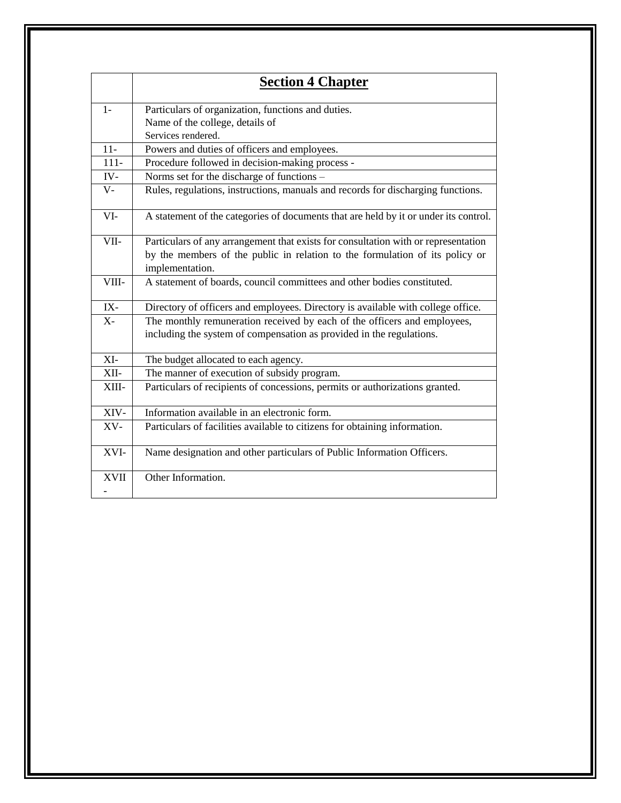|              | <b>Section 4 Chapter</b>                                                             |  |  |  |  |  |  |
|--------------|--------------------------------------------------------------------------------------|--|--|--|--|--|--|
| $1-$         |                                                                                      |  |  |  |  |  |  |
|              | Particulars of organization, functions and duties.                                   |  |  |  |  |  |  |
|              | Name of the college, details of                                                      |  |  |  |  |  |  |
|              | Services rendered.                                                                   |  |  |  |  |  |  |
| $11-$        | Powers and duties of officers and employees.                                         |  |  |  |  |  |  |
| $111 -$      | Procedure followed in decision-making process -                                      |  |  |  |  |  |  |
| $\hbox{IV}-$ | Norms set for the discharge of functions -                                           |  |  |  |  |  |  |
| $V -$        | Rules, regulations, instructions, manuals and records for discharging functions.     |  |  |  |  |  |  |
| VI-          | A statement of the categories of documents that are held by it or under its control. |  |  |  |  |  |  |
| VII-         | Particulars of any arrangement that exists for consultation with or representation   |  |  |  |  |  |  |
|              | by the members of the public in relation to the formulation of its policy or         |  |  |  |  |  |  |
|              | implementation.                                                                      |  |  |  |  |  |  |
| VIII-        | A statement of boards, council committees and other bodies constituted.              |  |  |  |  |  |  |
| IX-          | Directory of officers and employees. Directory is available with college office.     |  |  |  |  |  |  |
| $X -$        | The monthly remuneration received by each of the officers and employees,             |  |  |  |  |  |  |
|              | including the system of compensation as provided in the regulations.                 |  |  |  |  |  |  |
| XI-          | The budget allocated to each agency.                                                 |  |  |  |  |  |  |
| XII-         | The manner of execution of subsidy program.                                          |  |  |  |  |  |  |
| XIII-        | Particulars of recipients of concessions, permits or authorizations granted.         |  |  |  |  |  |  |
| XIV-         | Information available in an electronic form.                                         |  |  |  |  |  |  |
| XV-          | Particulars of facilities available to citizens for obtaining information.           |  |  |  |  |  |  |
| XVI-         | Name designation and other particulars of Public Information Officers.               |  |  |  |  |  |  |
| <b>XVII</b>  | Other Information.                                                                   |  |  |  |  |  |  |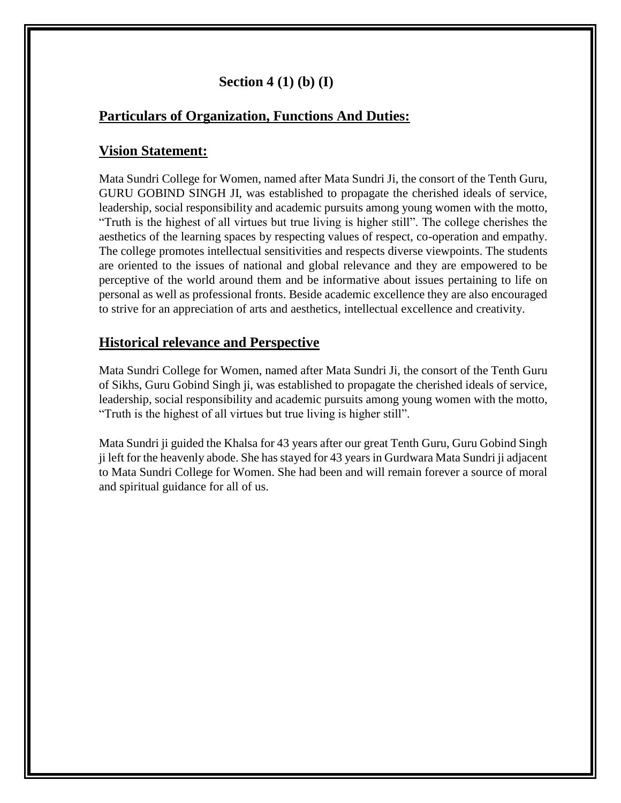## **Section 4 (1) (b) (I)**

## **Particulars of Organization, Functions And Duties:**

#### **Vision Statement:**

Mata Sundri College for Women, named after Mata Sundri Ji, the consort of the Tenth Guru, GURU GOBIND SINGH JI, was established to propagate the cherished ideals of service, leadership, social responsibility and academic pursuits among young women with the motto, "Truth is the highest of all virtues but true living is higher still". The college cherishes the aesthetics of the learning spaces by respecting values of respect, co-operation and empathy. The college promotes intellectual sensitivities and respects diverse viewpoints. The students are oriented to the issues of national and global relevance and they are empowered to be perceptive of the world around them and be informative about issues pertaining to life on personal as well as professional fronts. Beside academic excellence they are also encouraged to strive for an appreciation of arts and aesthetics, intellectual excellence and creativity.

## **Historical relevance and Perspective**

Mata Sundri College for Women, named after Mata Sundri Ji, the consort of the Tenth Guru of Sikhs, Guru Gobind Singh ji, was established to propagate the cherished ideals of service, leadership, social responsibility and academic pursuits among young women with the motto, "Truth is the highest of all virtues but true living is higher still".

Mata Sundri ji guided the Khalsa for 43 years after our great Tenth Guru, Guru Gobind Singh ji left for the heavenly abode. She has stayed for 43 years in Gurdwara Mata Sundri ji adjacent to Mata Sundri College for Women. She had been and will remain forever a source of moral and spiritual guidance for all of us.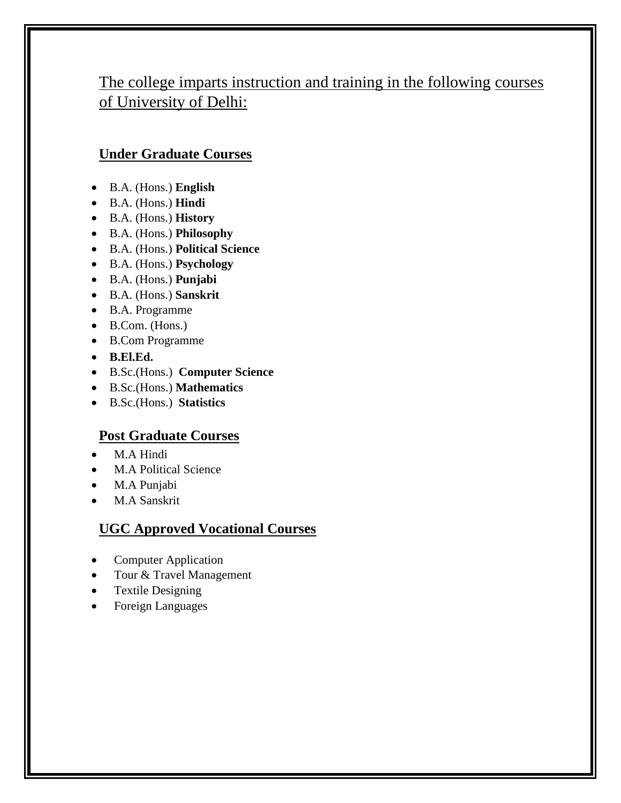# The college imparts instruction and training in the following courses of University of Delhi:

## **Under Graduate Courses**

- B.A. (Hons.) **English**
- B.A. (Hons.) **Hindi**
- B.A. (Hons.) **History**
- B.A. (Hons.) **Philosophy**
- B.A. (Hons.) **Political Science**
- B.A. (Hons.) **Psychology**
- B.A. (Hons.) **Punjabi**
- B.A. (Hons.) **Sanskrit**
- B.A. Programme
- $\bullet$  B.Com. (Hons.)
- B.Com Programme
- **B.El.Ed.**
- B.Sc.(Hons.) **Computer Science**
- B.Sc.(Hons.) **Mathematics**
- B.Sc.(Hons.) **Statistics**

## **Post Graduate Courses**

- M.A Hindi
- M.A Political Science
- M.A Punjabi
- M.A Sanskrit

## **UGC Approved Vocational Courses**

- Computer Application
- Tour & Travel Management
- Textile Designing
- Foreign Languages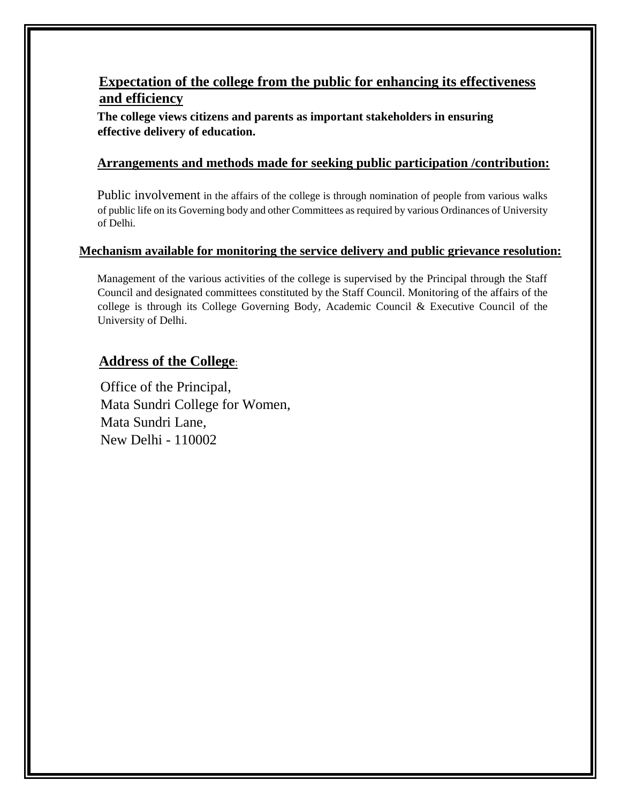## **Expectation of the college from the public for enhancing its effectiveness and efficiency**

**The college views citizens and parents as important stakeholders in ensuring effective delivery of education.**

#### **Arrangements and methods made for seeking public participation /contribution:**

Public involvement in the affairs of the college is through nomination of people from various walks of public life on its Governing body and other Committees as required by various Ordinances of University of Delhi.

#### **Mechanism available for monitoring the service delivery and public grievance resolution:**

Management of the various activities of the college is supervised by the Principal through the Staff Council and designated committees constituted by the Staff Council. Monitoring of the affairs of the college is through its College Governing Body, Academic Council & Executive Council of the University of Delhi.

#### **Address of the College**:

Office of the Principal, Mata Sundri College for Women, Mata Sundri Lane, New Delhi - 110002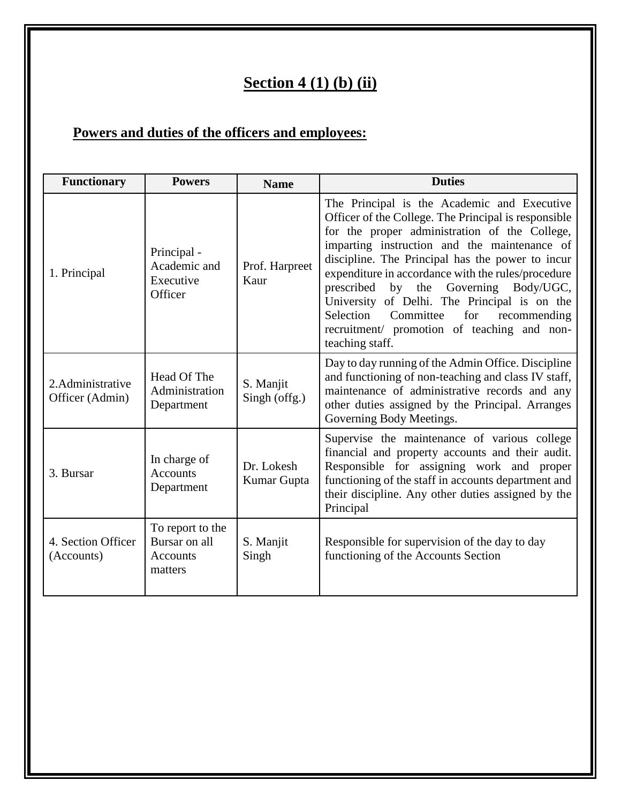# **Section 4 (1) (b) (ii)**

# **Powers and duties of the officers and employees:**

| <b>Functionary</b>                   | <b>Powers</b>                                            | <b>Name</b>                | <b>Duties</b>                                                                                                                                                                                                                                                                                                                                                                                                                                                                                                           |  |  |
|--------------------------------------|----------------------------------------------------------|----------------------------|-------------------------------------------------------------------------------------------------------------------------------------------------------------------------------------------------------------------------------------------------------------------------------------------------------------------------------------------------------------------------------------------------------------------------------------------------------------------------------------------------------------------------|--|--|
| 1. Principal                         | Principal -<br>Academic and<br>Executive<br>Officer      | Prof. Harpreet<br>Kaur     | The Principal is the Academic and Executive<br>Officer of the College. The Principal is responsible<br>for the proper administration of the College,<br>imparting instruction and the maintenance of<br>discipline. The Principal has the power to incur<br>expenditure in accordance with the rules/procedure<br>prescribed by the Governing Body/UGC,<br>University of Delhi. The Principal is on the<br>Selection Committee<br>for<br>recommending<br>recruitment/ promotion of teaching and non-<br>teaching staff. |  |  |
| 2. Administrative<br>Officer (Admin) | Head Of The<br>Administration<br>Department              | S. Manjit<br>Singh (offg.) | Day to day running of the Admin Office. Discipline<br>and functioning of non-teaching and class IV staff,<br>maintenance of administrative records and any<br>other duties assigned by the Principal. Arranges<br>Governing Body Meetings.                                                                                                                                                                                                                                                                              |  |  |
| 3. Bursar                            | In charge of<br><b>Accounts</b><br>Department            | Dr. Lokesh<br>Kumar Gupta  | Supervise the maintenance of various college<br>financial and property accounts and their audit.<br>Responsible for assigning work and proper<br>functioning of the staff in accounts department and<br>their discipline. Any other duties assigned by the<br>Principal                                                                                                                                                                                                                                                 |  |  |
| 4. Section Officer<br>(Accounts)     | To report to the<br>Bursar on all<br>Accounts<br>matters | S. Manjit<br>Singh         | Responsible for supervision of the day to day<br>functioning of the Accounts Section                                                                                                                                                                                                                                                                                                                                                                                                                                    |  |  |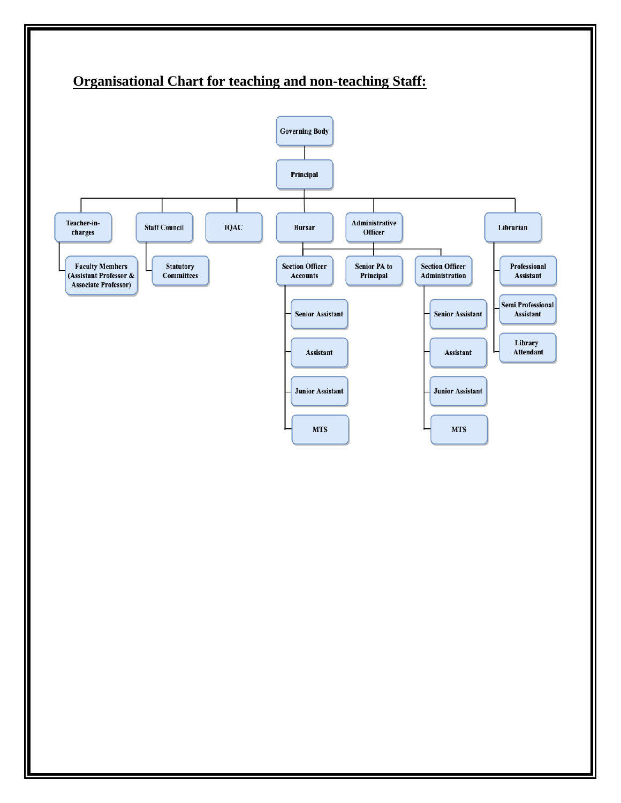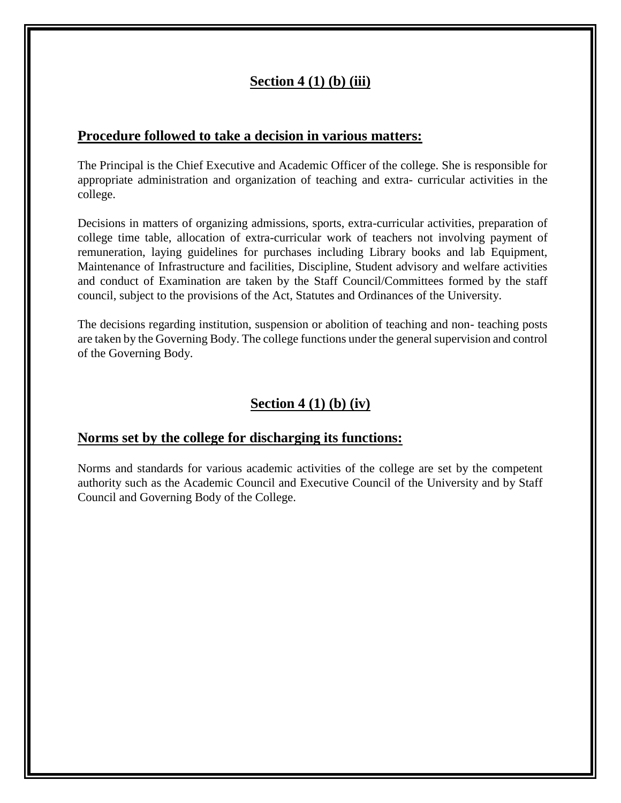## **Section 4 (1) (b) (iii)**

#### **Procedure followed to take a decision in various matters:**

The Principal is the Chief Executive and Academic Officer of the college. She is responsible for appropriate administration and organization of teaching and extra- curricular activities in the college.

Decisions in matters of organizing admissions, sports, extra-curricular activities, preparation of college time table, allocation of extra-curricular work of teachers not involving payment of remuneration, laying guidelines for purchases including Library books and lab Equipment, Maintenance of Infrastructure and facilities, Discipline, Student advisory and welfare activities and conduct of Examination are taken by the Staff Council/Committees formed by the staff council, subject to the provisions of the Act, Statutes and Ordinances of the University.

The decisions regarding institution, suspension or abolition of teaching and non- teaching posts are taken by the Governing Body. The college functions under the general supervision and control of the Governing Body.

## **Section 4 (1) (b) (iv)**

#### **Norms set by the college for discharging its functions:**

Norms and standards for various academic activities of the college are set by the competent authority such as the Academic Council and Executive Council of the University and by Staff Council and Governing Body of the College.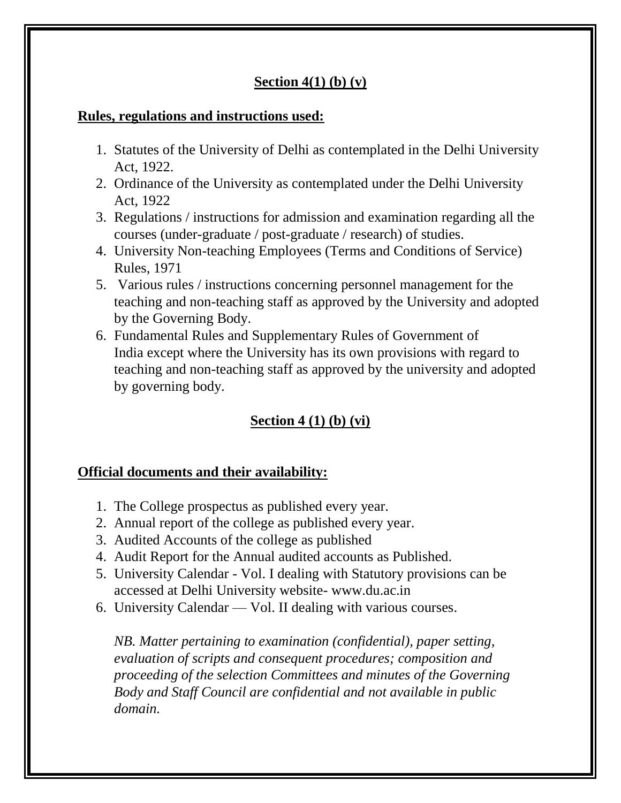## **Section 4(1) (b) (v)**

## **Rules, regulations and instructions used:**

- 1. Statutes of the University of Delhi as contemplated in the Delhi University Act, 1922.
- 2. Ordinance of the University as contemplated under the Delhi University Act, 1922
- 3. Regulations / instructions for admission and examination regarding all the courses (under-graduate / post-graduate / research) of studies.
- 4. University Non-teaching Employees (Terms and Conditions of Service) Rules, 1971
- 5. Various rules / instructions concerning personnel management for the teaching and non-teaching staff as approved by the University and adopted by the Governing Body.
- 6. Fundamental Rules and Supplementary Rules of Government of India except where the University has its own provisions with regard to teaching and non-teaching staff as approved by the university and adopted by governing body.

# **Section 4 (1) (b) (vi)**

## **Official documents and their availability:**

- 1. The College prospectus as published every year.
- 2. Annual report of the college as published every year.
- 3. Audited Accounts of the college as published
- 4. Audit Report for the Annual audited accounts as Published.
- 5. University Calendar Vol. I dealing with Statutory provisions can be accessed at Delhi University website- www.du.ac.in
- 6. University Calendar Vol. II dealing with various courses.

*NB. Matter pertaining to examination (confidential), paper setting, evaluation of scripts and consequent procedures; composition and proceeding of the selection Committees and minutes of the Governing Body and Staff Council are confidential and not available in public domain.*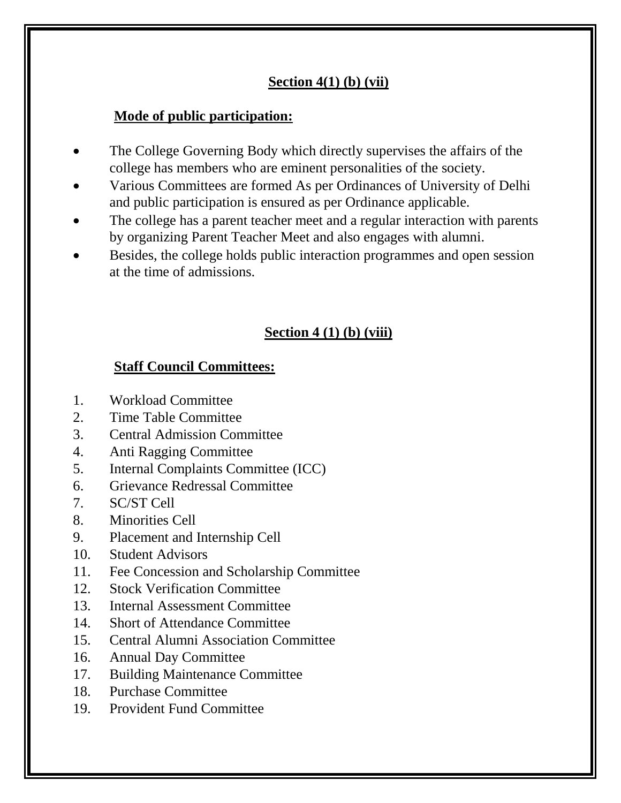# **Section 4(1) (b) (vii)**

# **Mode of public participation:**

- The College Governing Body which directly supervises the affairs of the college has members who are eminent personalities of the society.
- Various Committees are formed As per Ordinances of University of Delhi and public participation is ensured as per Ordinance applicable.
- The college has a parent teacher meet and a regular interaction with parents by organizing Parent Teacher Meet and also engages with alumni.
- Besides, the college holds public interaction programmes and open session at the time of admissions.

# **Section 4 (1) (b) (viii)**

## **Staff Council Committees:**

- 1. Workload Committee
- 2. Time Table Committee
- 3. Central Admission Committee
- 4. Anti Ragging Committee
- 5. Internal Complaints Committee (ICC)
- 6. Grievance Redressal Committee
- 7. SC/ST Cell
- 8. Minorities Cell
- 9. Placement and Internship Cell
- 10. Student Advisors
- 11. Fee Concession and Scholarship Committee
- 12. Stock Verification Committee
- 13. Internal Assessment Committee
- 14. Short of Attendance Committee
- 15. Central Alumni Association Committee
- 16. Annual Day Committee
- 17. Building Maintenance Committee
- 18. Purchase Committee
- 19. Provident Fund Committee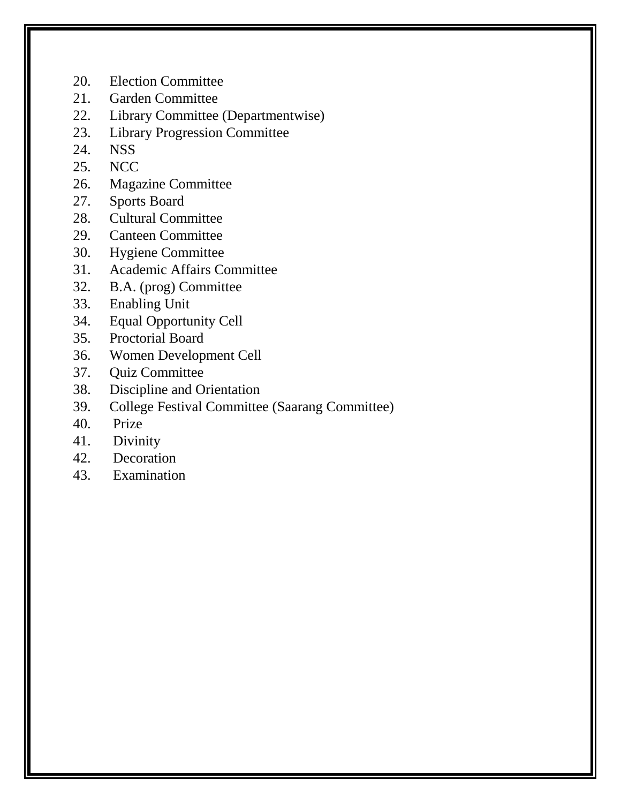- 20. Election Committee
- 21. Garden Committee
- 22. Library Committee (Departmentwise)
- 23. Library Progression Committee
- 24. NSS
- 25. NCC
- 26. Magazine Committee
- 27. Sports Board
- 28. Cultural Committee
- 29. Canteen Committee
- 30. Hygiene Committee
- 31. Academic Affairs Committee
- 32. B.A. (prog) Committee
- 33. Enabling Unit
- 34. Equal Opportunity Cell
- 35. Proctorial Board
- 36. Women Development Cell
- 37. Quiz Committee
- 38. Discipline and Orientation
- 39. College Festival Committee (Saarang Committee)
- 40. Prize
- 41. Divinity
- 42. Decoration
- 43. Examination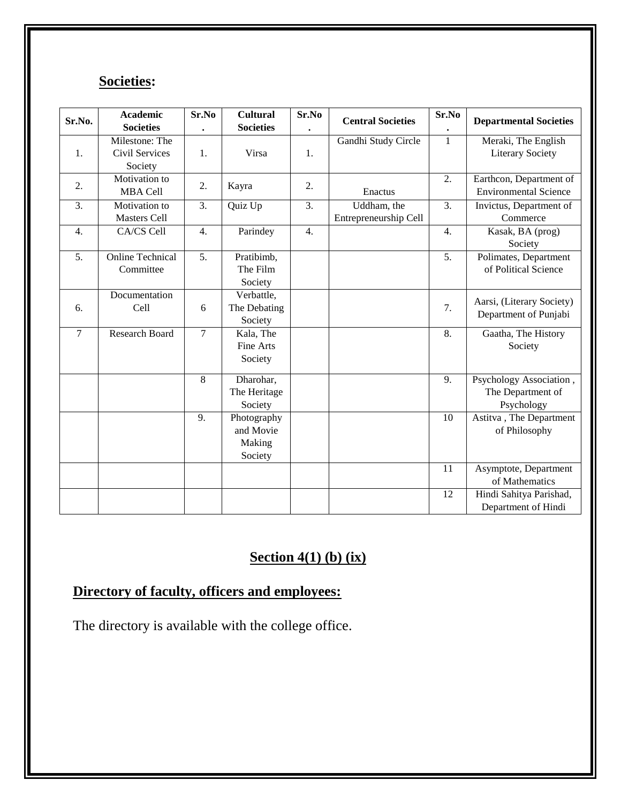# **Societies:**

| Sr.No.           | <b>Academic</b>         | Sr.No          | <b>Cultural</b>  | Sr.No            | <b>Central Societies</b> | Sr.No            | <b>Departmental Societies</b> |
|------------------|-------------------------|----------------|------------------|------------------|--------------------------|------------------|-------------------------------|
|                  | <b>Societies</b>        |                | <b>Societies</b> |                  |                          |                  |                               |
|                  | Milestone: The          |                |                  |                  | Gandhi Study Circle      | $\mathbf{1}$     | Meraki, The English           |
| 1.               | Civil Services          | 1.             | Virsa            | 1.               |                          |                  | <b>Literary Society</b>       |
|                  | Society                 |                |                  |                  |                          |                  |                               |
| 2.               | Motivation to           | 2.             | Kayra            | 2.               |                          | 2.               | Earthcon, Department of       |
|                  | <b>MBA Cell</b>         |                |                  |                  | Enactus                  |                  | <b>Environmental Science</b>  |
| 3.               | Motivation to           | 3.             | Quiz Up          | 3.               | Uddham, the              | 3.               | Invictus, Department of       |
|                  | <b>Masters Cell</b>     |                |                  |                  | Entrepreneurship Cell    |                  | Commerce                      |
| $\overline{4}$ . | CA/CS Cell              | 4.             | Parindey         | $\overline{4}$ . |                          | $\overline{4}$ . | Kasak, BA (prog)              |
|                  |                         |                |                  |                  |                          |                  | Society                       |
| 5.               | <b>Online Technical</b> | 5.             | Pratibimb,       |                  |                          | 5 <sub>1</sub>   | Polimates, Department         |
|                  | Committee               |                | The Film         |                  |                          |                  | of Political Science          |
|                  |                         |                | Society          |                  |                          |                  |                               |
|                  | Documentation           |                | Verbattle,       |                  |                          |                  | Aarsi, (Literary Society)     |
| 6.               | Cell                    | 6              | The Debating     |                  |                          | 7.               | Department of Punjabi         |
|                  |                         |                | Society          |                  |                          |                  |                               |
| $\overline{7}$   | <b>Research Board</b>   | $\overline{7}$ | Kala, The        |                  |                          | $\overline{8}$ . | Gaatha, The History           |
|                  |                         |                | Fine Arts        |                  |                          |                  | Society                       |
|                  |                         |                | Society          |                  |                          |                  |                               |
|                  |                         | $\overline{8}$ | Dharohar,        |                  |                          | 9.               | Psychology Association,       |
|                  |                         |                | The Heritage     |                  |                          |                  | The Department of             |
|                  |                         |                | Society          |                  |                          |                  | Psychology                    |
|                  |                         | 9.             | Photography      |                  |                          | 10               | Astitva, The Department       |
|                  |                         |                | and Movie        |                  |                          |                  | of Philosophy                 |
|                  |                         |                | Making           |                  |                          |                  |                               |
|                  |                         |                | Society          |                  |                          |                  |                               |
|                  |                         |                |                  |                  |                          | 11               | Asymptote, Department         |
|                  |                         |                |                  |                  |                          |                  | of Mathematics                |
|                  |                         |                |                  |                  |                          | $\overline{12}$  | Hindi Sahitya Parishad,       |
|                  |                         |                |                  |                  |                          |                  | Department of Hindi           |

# **Section 4(1) (b) (ix)**

# **Directory of faculty, officers and employees:**

The directory is available with the college office.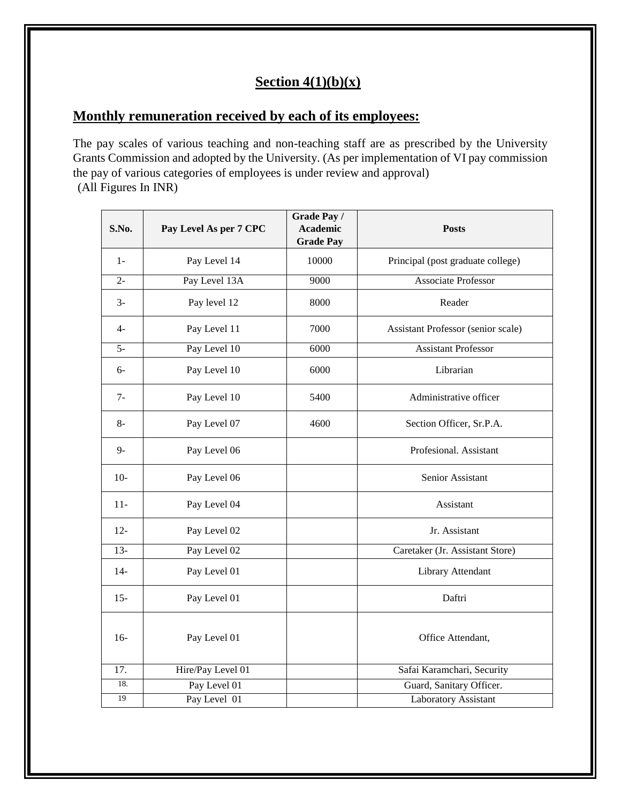## **Section 4(1)(b)(x)**

# **Monthly remuneration received by each of its employees:**

The pay scales of various teaching and non-teaching staff are as prescribed by the University Grants Commission and adopted by the University. (As per implementation of VI pay commission the pay of various categories of employees is under review and approval) (All Figures In INR)

| S.No.  | Pay Level As per 7 CPC | Grade Pay /<br><b>Academic</b><br><b>Grade Pay</b> | <b>Posts</b>                       |
|--------|------------------------|----------------------------------------------------|------------------------------------|
| $1-$   | Pay Level 14           | 10000                                              | Principal (post graduate college)  |
| $2 -$  | Pay Level 13A          | 9000                                               | <b>Associate Professor</b>         |
| $3-$   | Pay level 12           | 8000                                               | Reader                             |
| $4-$   | Pay Level 11           | 7000                                               | Assistant Professor (senior scale) |
| $5-$   | Pay Level 10           | 6000                                               | <b>Assistant Professor</b>         |
| $6-$   | Pay Level 10           | 6000                                               | Librarian                          |
| $7-$   | Pay Level 10           | 5400                                               | Administrative officer             |
| $8-$   | Pay Level 07           | 4600                                               | Section Officer, Sr.P.A.           |
| $9 -$  | Pay Level 06           |                                                    | Profesional. Assistant             |
| $10-$  | Pay Level 06           |                                                    | Senior Assistant                   |
| $11 -$ | Pay Level 04           |                                                    | Assistant                          |
| $12 -$ | Pay Level 02           |                                                    | Jr. Assistant                      |
| $13 -$ | Pay Level 02           |                                                    | Caretaker (Jr. Assistant Store)    |
| $14-$  | Pay Level 01           |                                                    | Library Attendant                  |
| $15 -$ | Pay Level 01           |                                                    | Daftri                             |
| $16-$  | Pay Level 01           |                                                    | Office Attendant,                  |
| 17.    | Hire/Pay Level 01      |                                                    | Safai Karamchari, Security         |
| 18.    | Pay Level 01           |                                                    | Guard, Sanitary Officer.           |
| 19     | Pay Level 01           |                                                    | Laboratory Assistant               |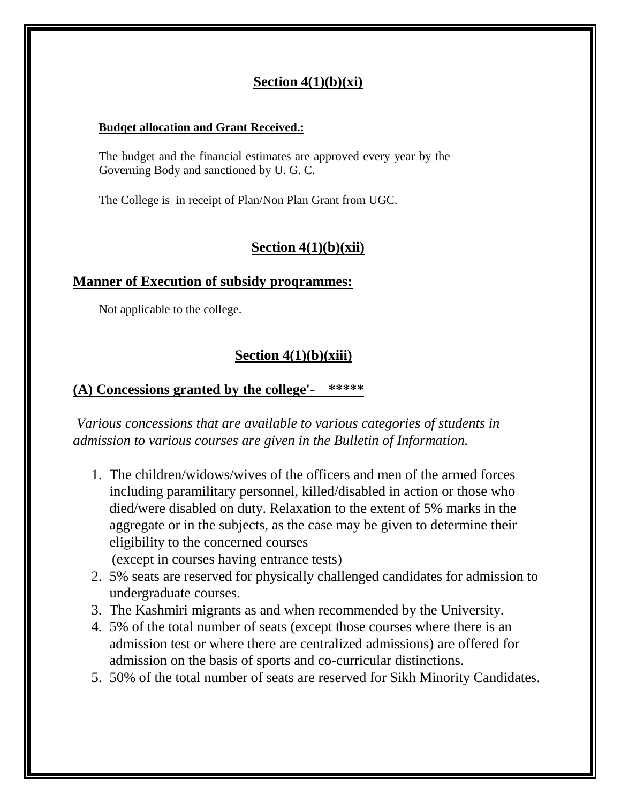## **Section 4(1)(b)(xi)**

#### **Budqet allocation and Grant Received.:**

The budget and the financial estimates are approved every year by the Governing Body and sanctioned by U. G. C.

The College is in receipt of Plan/Non Plan Grant from UGC.

## **Section 4(1)(b)(xii)**

#### **Manner of Execution of subsidy proqrammes:**

Not applicable to the college.

## **Section 4(1)(b)(xiii)**

## **(A) Concessions granted by the college'- \*\*\*\*\***

*Various concessions that are available to various categories of students in admission to various courses are given in the Bulletin of Information.*

- 1. The children/widows/wives of the officers and men of the armed forces including paramilitary personnel, killed/disabled in action or those who died/were disabled on duty. Relaxation to the extent of 5% marks in the aggregate or in the subjects, as the case may be given to determine their eligibility to the concerned courses (except in courses having entrance tests)
- 2. 5% seats are reserved for physically challenged candidates for admission to undergraduate courses.
- 3. The Kashmiri migrants as and when recommended by the University.
- 4. 5% of the total number of seats (except those courses where there is an admission test or where there are centralized admissions) are offered for admission on the basis of sports and co-curricular distinctions.
- 5. 50% of the total number of seats are reserved for Sikh Minority Candidates.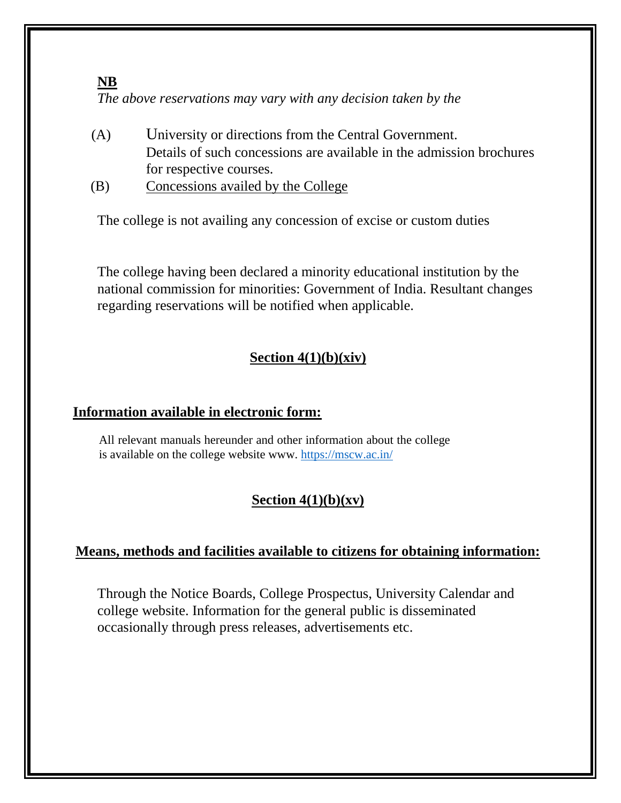#### **NB**

*The above reservations may vary with any decision taken by the*

- (A) University or directions from the Central Government. Details of such concessions are available in the admission brochures for respective courses.
- (B) Concessions availed by the College

The college is not availing any concession of excise or custom duties

The college having been declared a minority educational institution by the national commission for minorities: Government of India. Resultant changes regarding reservations will be notified when applicable.

## **Section 4(1)(b)(xiv)**

## **Information available in electronic form:**

All relevant manuals hereunder and other information about the college is available on the college website www.<https://mscw.ac.in/>

# **Section 4(1)(b)(xv)**

## **Means, methods and facilities available to citizens for obtaining information:**

Through the Notice Boards, College Prospectus, University Calendar and college website. Information for the general public is disseminated occasionally through press releases, advertisements etc.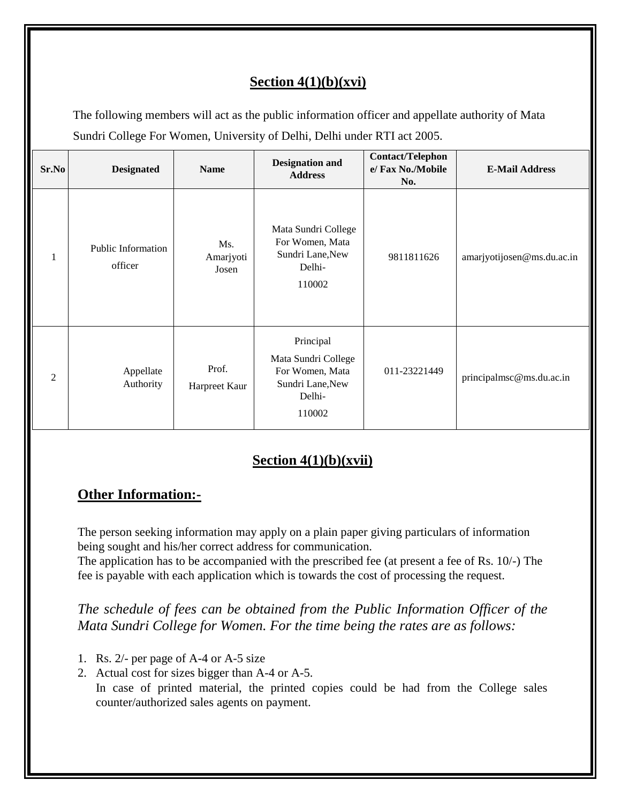# **Section 4(1)(b)(xvi)**

The following members will act as the public information officer and appellate authority of Mata Sundri College For Women, University of Delhi, Delhi under RTI act 2005.

| Sr.No | <b>Designated</b>             | <b>Name</b>               | <b>Designation and</b><br><b>Address</b>                                                    | <b>Contact/Telephon</b><br>e/ Fax No./Mobile<br>No. | <b>E-Mail Address</b>      |
|-------|-------------------------------|---------------------------|---------------------------------------------------------------------------------------------|-----------------------------------------------------|----------------------------|
| 1     | Public Information<br>officer | Ms.<br>Amarjyoti<br>Josen | Mata Sundri College<br>For Women, Mata<br>Sundri Lane, New<br>Delhi-<br>110002              | 9811811626                                          | amarjyotijosen@ms.du.ac.in |
| 2     | Appellate<br>Authority        | Prof.<br>Harpreet Kaur    | Principal<br>Mata Sundri College<br>For Women, Mata<br>Sundri Lane, New<br>Delhi-<br>110002 | 011-23221449                                        | principalmsc@ms.du.ac.in   |

# **Section 4(1)(b)(xvii)**

## **Other Information:-**

The person seeking information may apply on a plain paper giving particulars of information being sought and his/her correct address for communication.

The application has to be accompanied with the prescribed fee (at present a fee of Rs. 10/-) The fee is payable with each application which is towards the cost of processing the request.

*The schedule of fees can be obtained from the Public Information Officer of the Mata Sundri College for Women. For the time being the rates are as follows:*

- 1. Rs. 2/- per page of A-4 or A-5 size
- 2. Actual cost for sizes bigger than A-4 or A-5.

In case of printed material, the printed copies could be had from the College sales counter/authorized sales agents on payment.